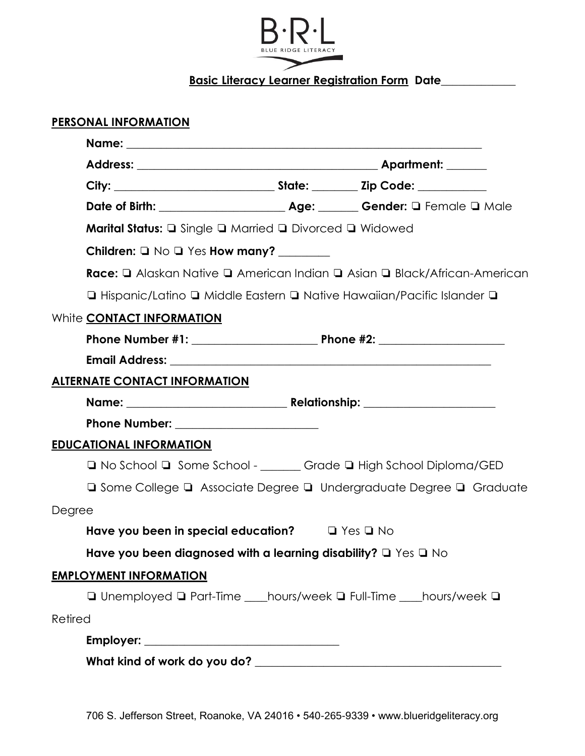

**Basic Literacy Learner Registration Form Date**\_\_\_\_\_\_\_\_\_\_\_\_\_

| PERSONAL INFORMATION                                                                                            |  |                                                                                                      |  |  |  |  |  |  |  |  |  |  |  |
|-----------------------------------------------------------------------------------------------------------------|--|------------------------------------------------------------------------------------------------------|--|--|--|--|--|--|--|--|--|--|--|
|                                                                                                                 |  |                                                                                                      |  |  |  |  |  |  |  |  |  |  |  |
|                                                                                                                 |  |                                                                                                      |  |  |  |  |  |  |  |  |  |  |  |
|                                                                                                                 |  |                                                                                                      |  |  |  |  |  |  |  |  |  |  |  |
|                                                                                                                 |  |                                                                                                      |  |  |  |  |  |  |  |  |  |  |  |
| <b>Marital Status: Q</b> Single <b>Q</b> Married <b>Q</b> Divorced <b>Q</b> Widowed                             |  |                                                                                                      |  |  |  |  |  |  |  |  |  |  |  |
|                                                                                                                 |  |                                                                                                      |  |  |  |  |  |  |  |  |  |  |  |
|                                                                                                                 |  | <b>Race:</b> $\Box$ Alaskan Native $\Box$ American Indian $\Box$ Asian $\Box$ Black/African-American |  |  |  |  |  |  |  |  |  |  |  |
|                                                                                                                 |  | □ Hispanic/Latino □ Middle Eastern □ Native Hawaiian/Pacific Islander □                              |  |  |  |  |  |  |  |  |  |  |  |
| White CONTACT INFORMATION                                                                                       |  |                                                                                                      |  |  |  |  |  |  |  |  |  |  |  |
|                                                                                                                 |  |                                                                                                      |  |  |  |  |  |  |  |  |  |  |  |
| Email Address: University of the Second Community of the Second Community of the Second Community of the Second |  |                                                                                                      |  |  |  |  |  |  |  |  |  |  |  |
| <b>ALTERNATE CONTACT INFORMATION</b>                                                                            |  |                                                                                                      |  |  |  |  |  |  |  |  |  |  |  |
|                                                                                                                 |  |                                                                                                      |  |  |  |  |  |  |  |  |  |  |  |
|                                                                                                                 |  |                                                                                                      |  |  |  |  |  |  |  |  |  |  |  |
| <b>EDUCATIONAL INFORMATION</b>                                                                                  |  |                                                                                                      |  |  |  |  |  |  |  |  |  |  |  |
|                                                                                                                 |  | □ No School □ Some School - ______ Grade □ High School Diploma/GED                                   |  |  |  |  |  |  |  |  |  |  |  |
|                                                                                                                 |  | □ Some College □ Associate Degree □ Undergraduate Degree □ Graduate                                  |  |  |  |  |  |  |  |  |  |  |  |
| Degree                                                                                                          |  |                                                                                                      |  |  |  |  |  |  |  |  |  |  |  |
| Have you been in special education? $\Box$ Yes $\Box$ No                                                        |  |                                                                                                      |  |  |  |  |  |  |  |  |  |  |  |
| Have you been diagnosed with a learning disability? $\Box$ Yes $\Box$ No                                        |  |                                                                                                      |  |  |  |  |  |  |  |  |  |  |  |
| <b>EMPLOYMENT INFORMATION</b>                                                                                   |  |                                                                                                      |  |  |  |  |  |  |  |  |  |  |  |
|                                                                                                                 |  | □ Unemployed □ Part-Time ____hours/week □ Full-Time ____hours/week □                                 |  |  |  |  |  |  |  |  |  |  |  |
| Retired                                                                                                         |  |                                                                                                      |  |  |  |  |  |  |  |  |  |  |  |
|                                                                                                                 |  |                                                                                                      |  |  |  |  |  |  |  |  |  |  |  |
|                                                                                                                 |  |                                                                                                      |  |  |  |  |  |  |  |  |  |  |  |